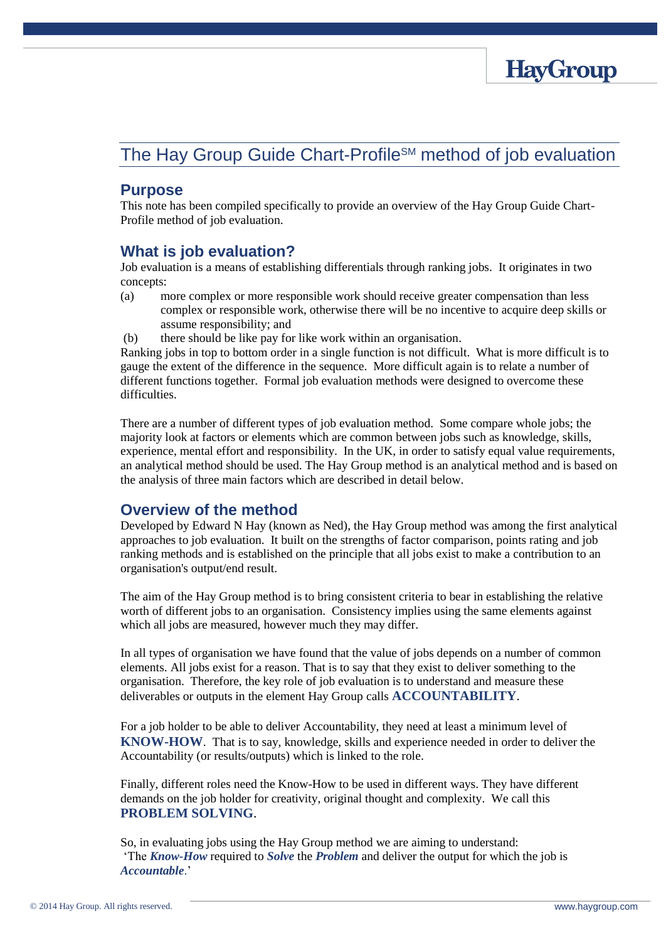

# The Hay Group Guide Chart-Profile<sup>SM</sup> method of job evaluation

#### **Purpose**

This note has been compiled specifically to provide an overview of the Hay Group Guide Chart-Profile method of job evaluation.

#### **What is job evaluation?**

Job evaluation is a means of establishing differentials through ranking jobs. It originates in two concepts:

- (a) more complex or more responsible work should receive greater compensation than less complex or responsible work, otherwise there will be no incentive to acquire deep skills or assume responsibility; and
- (b) there should be like pay for like work within an organisation.

Ranking jobs in top to bottom order in a single function is not difficult. What is more difficult is to gauge the extent of the difference in the sequence. More difficult again is to relate a number of different functions together. Formal job evaluation methods were designed to overcome these difficulties.

There are a number of different types of job evaluation method. Some compare whole jobs; the majority look at factors or elements which are common between jobs such as knowledge, skills, experience, mental effort and responsibility. In the UK, in order to satisfy equal value requirements, an analytical method should be used. The Hay Group method is an analytical method and is based on the analysis of three main factors which are described in detail below.

#### **Overview of the method**

Developed by Edward N Hay (known as Ned), the Hay Group method was among the first analytical approaches to job evaluation. It built on the strengths of factor comparison, points rating and job ranking methods and is established on the principle that all jobs exist to make a contribution to an organisation's output/end result.

The aim of the Hay Group method is to bring consistent criteria to bear in establishing the relative worth of different jobs to an organisation. Consistency implies using the same elements against which all jobs are measured, however much they may differ.

In all types of organisation we have found that the value of jobs depends on a number of common elements. All jobs exist for a reason. That is to say that they exist to deliver something to the organisation. Therefore, the key role of job evaluation is to understand and measure these deliverables or outputs in the element Hay Group calls **ACCOUNTABILITY**.

For a job holder to be able to deliver Accountability, they need at least a minimum level of **KNOW-HOW**. That is to say, knowledge, skills and experience needed in order to deliver the Accountability (or results/outputs) which is linked to the role.

Finally, different roles need the Know-How to be used in different ways. They have different demands on the job holder for creativity, original thought and complexity. We call this **PROBLEM SOLVING**.

So, in evaluating jobs using the Hay Group method we are aiming to understand: 'The *Know-How* required to *Solve* the *Problem* and deliver the output for which the job is *Accountable*.'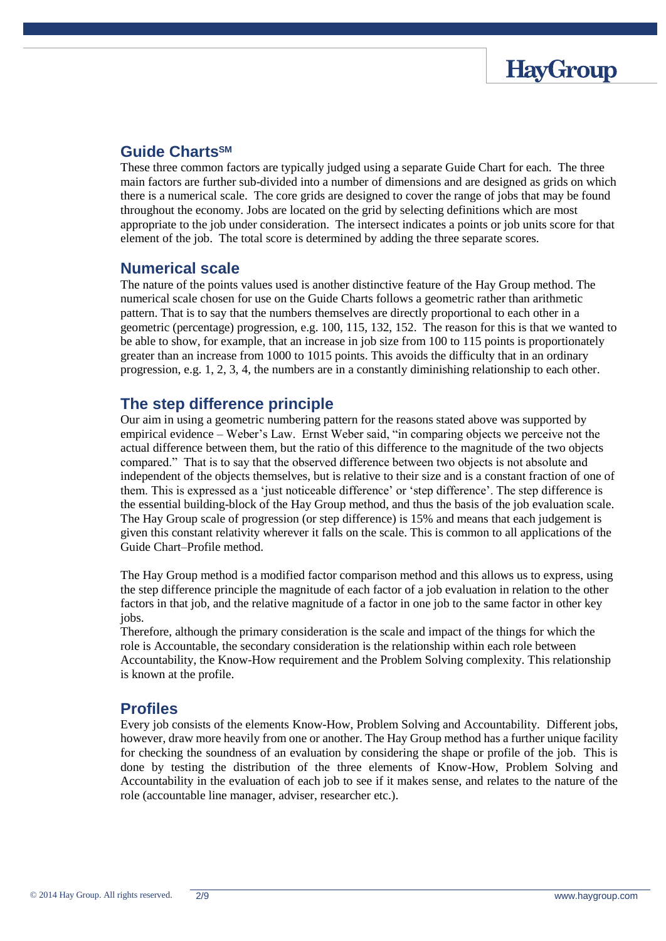

#### **Guide ChartsSM**

These three common factors are typically judged using a separate Guide Chart for each. The three main factors are further sub-divided into a number of dimensions and are designed as grids on which there is a numerical scale. The core grids are designed to cover the range of jobs that may be found throughout the economy. Jobs are located on the grid by selecting definitions which are most appropriate to the job under consideration. The intersect indicates a points or job units score for that element of the job. The total score is determined by adding the three separate scores.

## **Numerical scale**

The nature of the points values used is another distinctive feature of the Hay Group method. The numerical scale chosen for use on the Guide Charts follows a geometric rather than arithmetic pattern. That is to say that the numbers themselves are directly proportional to each other in a geometric (percentage) progression, e.g. 100, 115, 132, 152. The reason for this is that we wanted to be able to show, for example, that an increase in job size from 100 to 115 points is proportionately greater than an increase from 1000 to 1015 points. This avoids the difficulty that in an ordinary progression, e.g. 1, 2, 3, 4, the numbers are in a constantly diminishing relationship to each other.

## **The step difference principle**

Our aim in using a geometric numbering pattern for the reasons stated above was supported by empirical evidence – Weber's Law. Ernst Weber said, "in comparing objects we perceive not the actual difference between them, but the ratio of this difference to the magnitude of the two objects compared." That is to say that the observed difference between two objects is not absolute and independent of the objects themselves, but is relative to their size and is a constant fraction of one of them. This is expressed as a 'just noticeable difference' or 'step difference'. The step difference is the essential building-block of the Hay Group method, and thus the basis of the job evaluation scale. The Hay Group scale of progression (or step difference) is 15% and means that each judgement is given this constant relativity wherever it falls on the scale. This is common to all applications of the Guide Chart–Profile method.

The Hay Group method is a modified factor comparison method and this allows us to express, using the step difference principle the magnitude of each factor of a job evaluation in relation to the other factors in that job, and the relative magnitude of a factor in one job to the same factor in other key jobs.

Therefore, although the primary consideration is the scale and impact of the things for which the role is Accountable, the secondary consideration is the relationship within each role between Accountability, the Know-How requirement and the Problem Solving complexity. This relationship is known at the profile.

#### **Profiles**

Every job consists of the elements Know-How, Problem Solving and Accountability. Different jobs, however, draw more heavily from one or another. The Hay Group method has a further unique facility for checking the soundness of an evaluation by considering the shape or profile of the job. This is done by testing the distribution of the three elements of Know-How, Problem Solving and Accountability in the evaluation of each job to see if it makes sense, and relates to the nature of the role (accountable line manager, adviser, researcher etc.).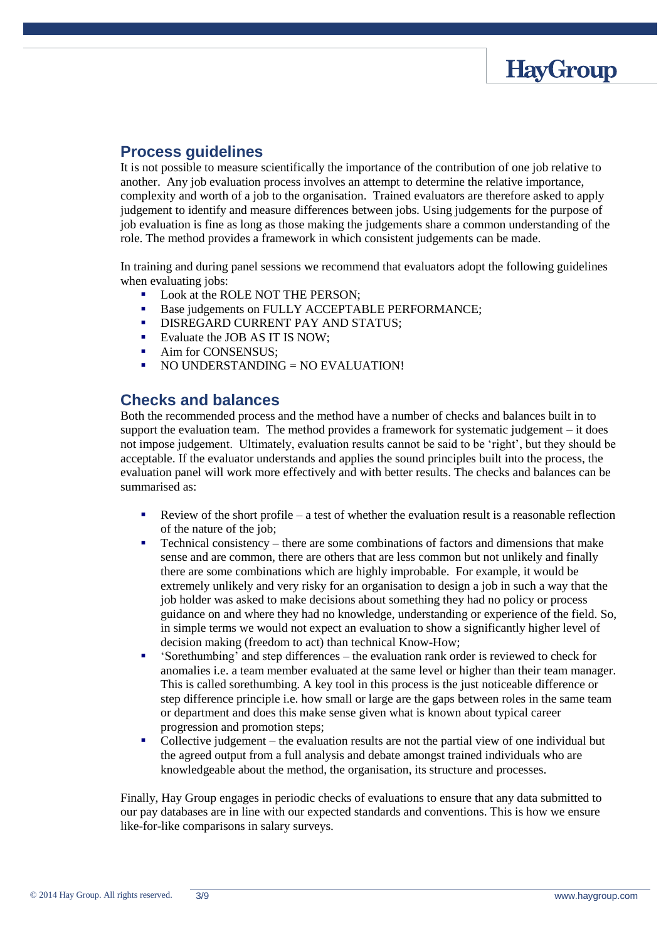

## **Process guidelines**

It is not possible to measure scientifically the importance of the contribution of one job relative to another. Any job evaluation process involves an attempt to determine the relative importance, complexity and worth of a job to the organisation. Trained evaluators are therefore asked to apply judgement to identify and measure differences between jobs. Using judgements for the purpose of job evaluation is fine as long as those making the judgements share a common understanding of the role. The method provides a framework in which consistent judgements can be made.

In training and during panel sessions we recommend that evaluators adopt the following guidelines when evaluating jobs:

- Look at the ROLE NOT THE PERSON;
- Base judgements on FULLY ACCEPTABLE PERFORMANCE;
- DISREGARD CURRENT PAY AND STATUS;
- Evaluate the JOB AS IT IS NOW;
- Aim for CONSENSUS;
- NO UNDERSTANDING = NO EVALUATION!

#### **Checks and balances**

Both the recommended process and the method have a number of checks and balances built in to support the evaluation team. The method provides a framework for systematic judgement – it does not impose judgement. Ultimately, evaluation results cannot be said to be 'right', but they should be acceptable. If the evaluator understands and applies the sound principles built into the process, the evaluation panel will work more effectively and with better results. The checks and balances can be summarised as:

- Review of the short profile a test of whether the evaluation result is a reasonable reflection of the nature of the job;
- Technical consistency there are some combinations of factors and dimensions that make sense and are common, there are others that are less common but not unlikely and finally there are some combinations which are highly improbable. For example, it would be extremely unlikely and very risky for an organisation to design a job in such a way that the job holder was asked to make decisions about something they had no policy or process guidance on and where they had no knowledge, understanding or experience of the field. So, in simple terms we would not expect an evaluation to show a significantly higher level of decision making (freedom to act) than technical Know-How;
- 'Sorethumbing' and step differences the evaluation rank order is reviewed to check for anomalies i.e. a team member evaluated at the same level or higher than their team manager. This is called sorethumbing. A key tool in this process is the just noticeable difference or step difference principle i.e. how small or large are the gaps between roles in the same team or department and does this make sense given what is known about typical career progression and promotion steps;
- Collective judgement the evaluation results are not the partial view of one individual but the agreed output from a full analysis and debate amongst trained individuals who are knowledgeable about the method, the organisation, its structure and processes.

Finally, Hay Group engages in periodic checks of evaluations to ensure that any data submitted to our pay databases are in line with our expected standards and conventions. This is how we ensure like-for-like comparisons in salary surveys.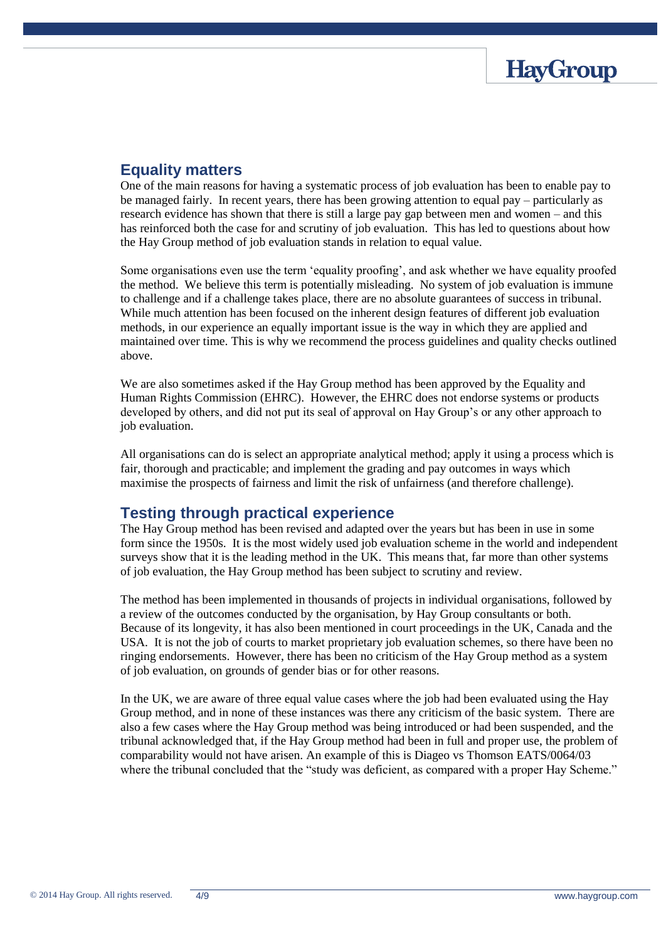

## **Equality matters**

One of the main reasons for having a systematic process of job evaluation has been to enable pay to be managed fairly. In recent years, there has been growing attention to equal pay – particularly as research evidence has shown that there is still a large pay gap between men and women – and this has reinforced both the case for and scrutiny of job evaluation. This has led to questions about how the Hay Group method of job evaluation stands in relation to equal value.

Some organisations even use the term 'equality proofing', and ask whether we have equality proofed the method. We believe this term is potentially misleading. No system of job evaluation is immune to challenge and if a challenge takes place, there are no absolute guarantees of success in tribunal. While much attention has been focused on the inherent design features of different job evaluation methods, in our experience an equally important issue is the way in which they are applied and maintained over time. This is why we recommend the process guidelines and quality checks outlined above.

We are also sometimes asked if the Hay Group method has been approved by the Equality and Human Rights Commission (EHRC). However, the EHRC does not endorse systems or products developed by others, and did not put its seal of approval on Hay Group's or any other approach to job evaluation.

All organisations can do is select an appropriate analytical method; apply it using a process which is fair, thorough and practicable; and implement the grading and pay outcomes in ways which maximise the prospects of fairness and limit the risk of unfairness (and therefore challenge).

#### **Testing through practical experience**

The Hay Group method has been revised and adapted over the years but has been in use in some form since the 1950s. It is the most widely used job evaluation scheme in the world and independent surveys show that it is the leading method in the UK. This means that, far more than other systems of job evaluation, the Hay Group method has been subject to scrutiny and review.

The method has been implemented in thousands of projects in individual organisations, followed by a review of the outcomes conducted by the organisation, by Hay Group consultants or both. Because of its longevity, it has also been mentioned in court proceedings in the UK, Canada and the USA. It is not the job of courts to market proprietary job evaluation schemes, so there have been no ringing endorsements. However, there has been no criticism of the Hay Group method as a system of job evaluation, on grounds of gender bias or for other reasons.

In the UK, we are aware of three equal value cases where the job had been evaluated using the Hay Group method, and in none of these instances was there any criticism of the basic system. There are also a few cases where the Hay Group method was being introduced or had been suspended, and the tribunal acknowledged that, if the Hay Group method had been in full and proper use, the problem of comparability would not have arisen. An example of this is Diageo vs Thomson EATS/0064/03 where the tribunal concluded that the "study was deficient, as compared with a proper Hay Scheme."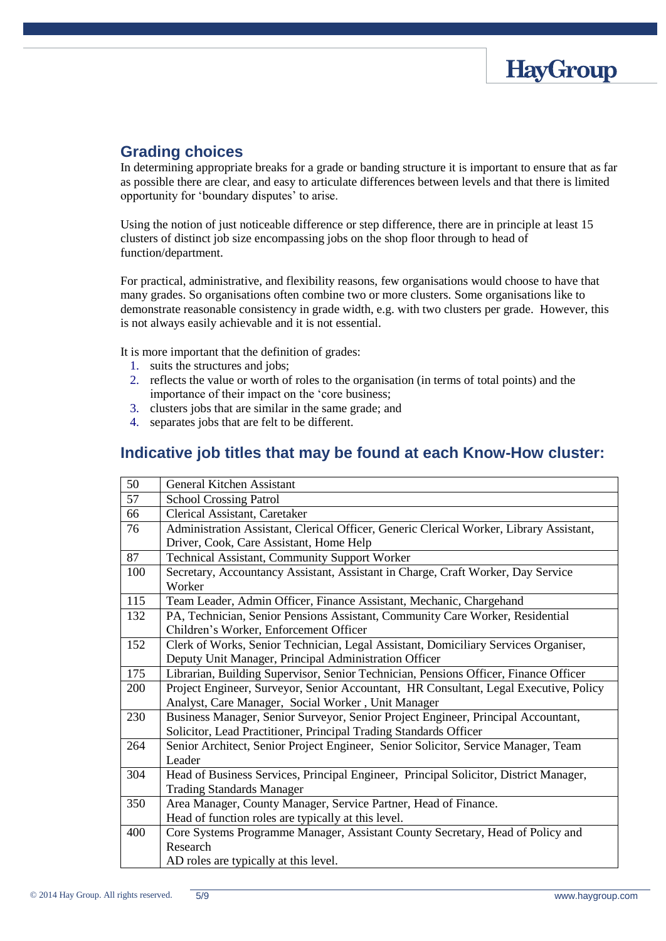

## **Grading choices**

In determining appropriate breaks for a grade or banding structure it is important to ensure that as far as possible there are clear, and easy to articulate differences between levels and that there is limited opportunity for 'boundary disputes' to arise.

Using the notion of just noticeable difference or step difference, there are in principle at least 15 clusters of distinct job size encompassing jobs on the shop floor through to head of function/department.

For practical, administrative, and flexibility reasons, few organisations would choose to have that many grades. So organisations often combine two or more clusters. Some organisations like to demonstrate reasonable consistency in grade width, e.g. with two clusters per grade. However, this is not always easily achievable and it is not essential.

It is more important that the definition of grades:

- 1. suits the structures and jobs;
- 2. reflects the value or worth of roles to the organisation (in terms of total points) and the importance of their impact on the 'core business;
- 3. clusters jobs that are similar in the same grade; and
- 4. separates jobs that are felt to be different.

## **Indicative job titles that may be found at each Know-How cluster:**

| 50  | <b>General Kitchen Assistant</b>                                                           |
|-----|--------------------------------------------------------------------------------------------|
| 57  | <b>School Crossing Patrol</b>                                                              |
| 66  | Clerical Assistant, Caretaker                                                              |
| 76  | Administration Assistant, Clerical Officer, Generic Clerical Worker, Library Assistant,    |
|     | Driver, Cook, Care Assistant, Home Help                                                    |
| 87  | <b>Technical Assistant, Community Support Worker</b>                                       |
| 100 | Secretary, Accountancy Assistant, Assistant in Charge, Craft Worker, Day Service<br>Worker |
| 115 | Team Leader, Admin Officer, Finance Assistant, Mechanic, Chargehand                        |
| 132 | PA, Technician, Senior Pensions Assistant, Community Care Worker, Residential              |
|     | Children's Worker, Enforcement Officer                                                     |
| 152 | Clerk of Works, Senior Technician, Legal Assistant, Domiciliary Services Organiser,        |
|     | Deputy Unit Manager, Principal Administration Officer                                      |
| 175 | Librarian, Building Supervisor, Senior Technician, Pensions Officer, Finance Officer       |
| 200 | Project Engineer, Surveyor, Senior Accountant, HR Consultant, Legal Executive, Policy      |
|     | Analyst, Care Manager, Social Worker, Unit Manager                                         |
| 230 | Business Manager, Senior Surveyor, Senior Project Engineer, Principal Accountant,          |
|     | Solicitor, Lead Practitioner, Principal Trading Standards Officer                          |
| 264 | Senior Architect, Senior Project Engineer, Senior Solicitor, Service Manager, Team         |
|     | Leader                                                                                     |
| 304 | Head of Business Services, Principal Engineer, Principal Solicitor, District Manager,      |
|     | <b>Trading Standards Manager</b>                                                           |
| 350 | Area Manager, County Manager, Service Partner, Head of Finance.                            |
|     | Head of function roles are typically at this level.                                        |
| 400 | Core Systems Programme Manager, Assistant County Secretary, Head of Policy and             |
|     | Research                                                                                   |
|     | AD roles are typically at this level.                                                      |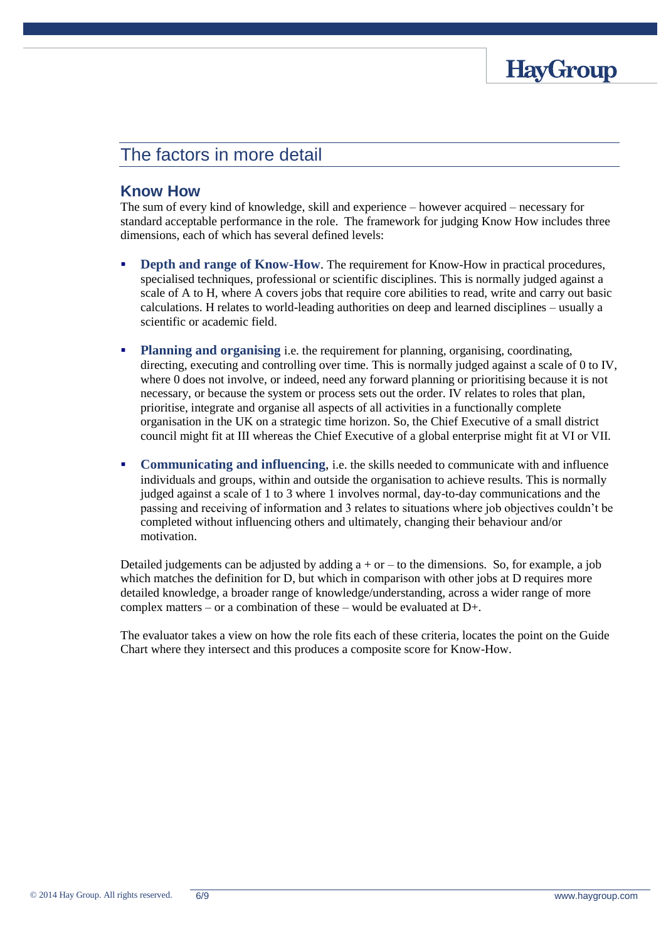

## The factors in more detail

#### **Know How**

The sum of every kind of knowledge, skill and experience – however acquired – necessary for standard acceptable performance in the role. The framework for judging Know How includes three dimensions, each of which has several defined levels:

- **Depth and range of Know-How.** The requirement for Know-How in practical procedures, specialised techniques, professional or scientific disciplines. This is normally judged against a scale of A to H, where A covers jobs that require core abilities to read, write and carry out basic calculations. H relates to world-leading authorities on deep and learned disciplines – usually a scientific or academic field.
- **Planning and organising** i.e. the requirement for planning, organising, coordinating, directing, executing and controlling over time. This is normally judged against a scale of 0 to IV, where 0 does not involve, or indeed, need any forward planning or prioritising because it is not necessary, or because the system or process sets out the order. IV relates to roles that plan, prioritise, integrate and organise all aspects of all activities in a functionally complete organisation in the UK on a strategic time horizon. So, the Chief Executive of a small district council might fit at III whereas the Chief Executive of a global enterprise might fit at VI or VII.
- **Communicating and influencing**, i.e. the skills needed to communicate with and influence individuals and groups, within and outside the organisation to achieve results. This is normally judged against a scale of 1 to 3 where 1 involves normal, day-to-day communications and the passing and receiving of information and 3 relates to situations where job objectives couldn't be completed without influencing others and ultimately, changing their behaviour and/or motivation.

Detailed judgements can be adjusted by adding  $a + or - to$  to the dimensions. So, for example, a job which matches the definition for D, but which in comparison with other jobs at D requires more detailed knowledge, a broader range of knowledge/understanding, across a wider range of more complex matters – or a combination of these – would be evaluated at  $D_{+}$ .

The evaluator takes a view on how the role fits each of these criteria, locates the point on the Guide Chart where they intersect and this produces a composite score for Know-How.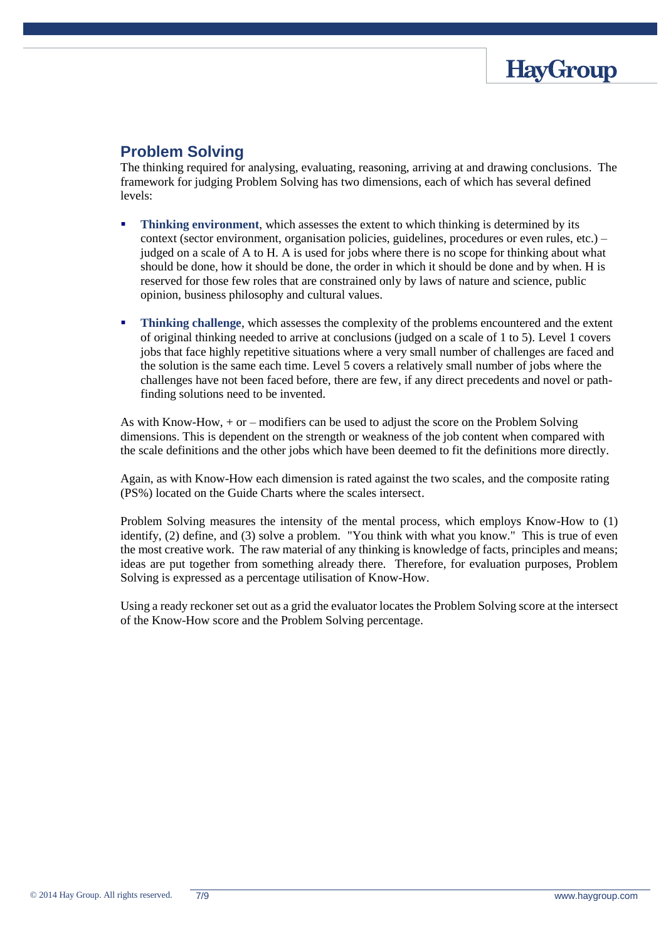

## **Problem Solving**

The thinking required for analysing, evaluating, reasoning, arriving at and drawing conclusions. The framework for judging Problem Solving has two dimensions, each of which has several defined levels:

- **Thinking environment**, which assesses the extent to which thinking is determined by its context (sector environment, organisation policies, guidelines, procedures or even rules, etc.) – judged on a scale of A to H. A is used for jobs where there is no scope for thinking about what should be done, how it should be done, the order in which it should be done and by when. H is reserved for those few roles that are constrained only by laws of nature and science, public opinion, business philosophy and cultural values.
- **Thinking challenge**, which assesses the complexity of the problems encountered and the extent of original thinking needed to arrive at conclusions (judged on a scale of 1 to 5). Level 1 covers jobs that face highly repetitive situations where a very small number of challenges are faced and the solution is the same each time. Level 5 covers a relatively small number of jobs where the challenges have not been faced before, there are few, if any direct precedents and novel or pathfinding solutions need to be invented.

As with Know-How, + or – modifiers can be used to adjust the score on the Problem Solving dimensions. This is dependent on the strength or weakness of the job content when compared with the scale definitions and the other jobs which have been deemed to fit the definitions more directly.

Again, as with Know-How each dimension is rated against the two scales, and the composite rating (PS%) located on the Guide Charts where the scales intersect.

Problem Solving measures the intensity of the mental process, which employs Know-How to (1) identify, (2) define, and (3) solve a problem. "You think with what you know." This is true of even the most creative work. The raw material of any thinking is knowledge of facts, principles and means; ideas are put together from something already there. Therefore, for evaluation purposes, Problem Solving is expressed as a percentage utilisation of Know-How.

Using a ready reckoner set out as a grid the evaluator locates the Problem Solving score at the intersect of the Know-How score and the Problem Solving percentage.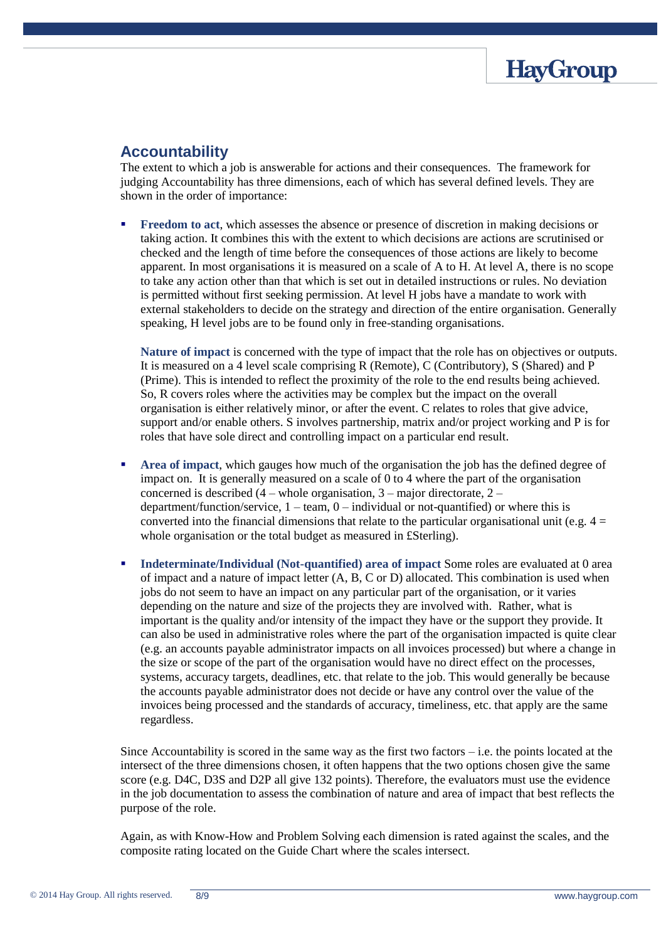

#### **Accountability**

The extent to which a job is answerable for actions and their consequences. The framework for judging Accountability has three dimensions, each of which has several defined levels. They are shown in the order of importance:

 **Freedom to act**, which assesses the absence or presence of discretion in making decisions or taking action. It combines this with the extent to which decisions are actions are scrutinised or checked and the length of time before the consequences of those actions are likely to become apparent. In most organisations it is measured on a scale of A to H. At level A, there is no scope to take any action other than that which is set out in detailed instructions or rules. No deviation is permitted without first seeking permission. At level H jobs have a mandate to work with external stakeholders to decide on the strategy and direction of the entire organisation. Generally speaking, H level jobs are to be found only in free-standing organisations.

**Nature of impact** is concerned with the type of impact that the role has on objectives or outputs. It is measured on a 4 level scale comprising R (Remote), C (Contributory), S (Shared) and P (Prime). This is intended to reflect the proximity of the role to the end results being achieved. So, R covers roles where the activities may be complex but the impact on the overall organisation is either relatively minor, or after the event. C relates to roles that give advice, support and/or enable others. S involves partnership, matrix and/or project working and P is for roles that have sole direct and controlling impact on a particular end result.

- **Area of impact**, which gauges how much of the organisation the job has the defined degree of impact on. It is generally measured on a scale of 0 to 4 where the part of the organisation concerned is described  $(4 - whole organisation, 3 - major directorate, 2$ department/function/service,  $1 - \text{team}$ ,  $0 - \text{individual or not-quantified}$  or where this is converted into the financial dimensions that relate to the particular organisational unit (e.g.  $4 =$ whole organisation or the total budget as measured in £Sterling).
- **Indeterminate/Individual (Not-quantified) area of impact** Some roles are evaluated at 0 area of impact and a nature of impact letter (A, B, C or D) allocated. This combination is used when jobs do not seem to have an impact on any particular part of the organisation, or it varies depending on the nature and size of the projects they are involved with. Rather, what is important is the quality and/or intensity of the impact they have or the support they provide. It can also be used in administrative roles where the part of the organisation impacted is quite clear (e.g. an accounts payable administrator impacts on all invoices processed) but where a change in the size or scope of the part of the organisation would have no direct effect on the processes, systems, accuracy targets, deadlines, etc. that relate to the job. This would generally be because the accounts payable administrator does not decide or have any control over the value of the invoices being processed and the standards of accuracy, timeliness, etc. that apply are the same regardless.

Since Accountability is scored in the same way as the first two factors  $-i.e.$  the points located at the intersect of the three dimensions chosen, it often happens that the two options chosen give the same score (e.g. D4C, D3S and D2P all give 132 points). Therefore, the evaluators must use the evidence in the job documentation to assess the combination of nature and area of impact that best reflects the purpose of the role.

Again, as with Know-How and Problem Solving each dimension is rated against the scales, and the composite rating located on the Guide Chart where the scales intersect.